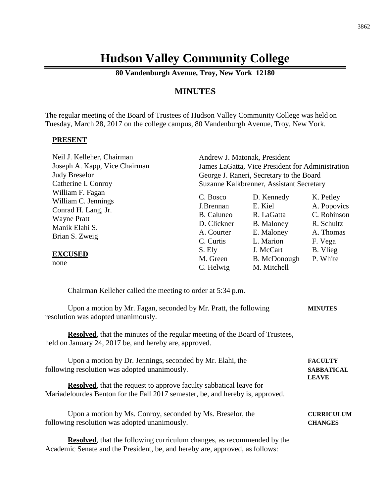# **Hudson Valley Community College**

**80 Vandenburgh Avenue, Troy, New York 12180**

# **MINUTES**

The regular meeting of the Board of Trustees of Hudson Valley Community College was held on Tuesday, March 28, 2017 on the college campus, 80 Vandenburgh Avenue, Troy, New York.

#### **PRESENT**

| Neil J. Kelleher, Chairman                                                           | Andrew J. Matonak, President                     |                                              |                                         |
|--------------------------------------------------------------------------------------|--------------------------------------------------|----------------------------------------------|-----------------------------------------|
| Joseph A. Kapp, Vice Chairman                                                        | James LaGatta, Vice President for Administration |                                              |                                         |
| <b>Judy Breselor</b>                                                                 | George J. Raneri, Secretary to the Board         |                                              |                                         |
| Catherine I. Conroy                                                                  | Suzanne Kalkbrenner, Assistant Secretary         |                                              |                                         |
| William F. Fagan<br>William C. Jennings<br>Conrad H. Lang, Jr.<br><b>Wayne Pratt</b> | C. Bosco<br>J.Brennan<br>B. Caluneo              | D. Kennedy<br>E. Kiel<br>R. LaGatta          | K. Petley<br>A. Popovics<br>C. Robinson |
| Manik Elahi S.<br>Brian S. Zweig                                                     | D. Clickner<br>A. Courter<br>C. Curtis           | <b>B.</b> Maloney<br>E. Maloney<br>L. Marion | R. Schultz<br>A. Thomas<br>F. Vega      |
| <b>EXCUSED</b><br>none                                                               | S. Ely<br>M. Green<br>C. Helwig                  | J. McCart<br>B. McDonough<br>M. Mitchell     | B. Vlieg<br>P. White                    |

Chairman Kelleher called the meeting to order at 5:34 p.m.

| Upon a motion by Mr. Fagan, seconded by Mr. Pratt, the following | <b>MINUTES</b> |
|------------------------------------------------------------------|----------------|
| resolution was adopted unanimously.                              |                |
|                                                                  |                |

**Resolved**, that the minutes of the regular meeting of the Board of Trustees, held on January 24, 2017 be, and hereby are, approved.

| Upon a motion by Dr. Jennings, seconded by Mr. Elahi, the                      | <b>FACULTY</b>    |
|--------------------------------------------------------------------------------|-------------------|
| following resolution was adopted unanimously.                                  | <b>SABBATICAL</b> |
|                                                                                | <b>LEAVE</b>      |
| <b>Resolved</b> , that the request to approve faculty sabbatical leave for     |                   |
| Mariadelourdes Benton for the Fall 2017 semester, be, and hereby is, approved. |                   |
| Upon a motion by Ms. Conroy, seconded by Ms. Breselor, the                     | <b>CURRICULUM</b> |
| following resolution was adopted unanimously.                                  | <b>CHANGES</b>    |

**Resolved**, that the following curriculum changes, as recommended by the Academic Senate and the President, be, and hereby are, approved, as follows: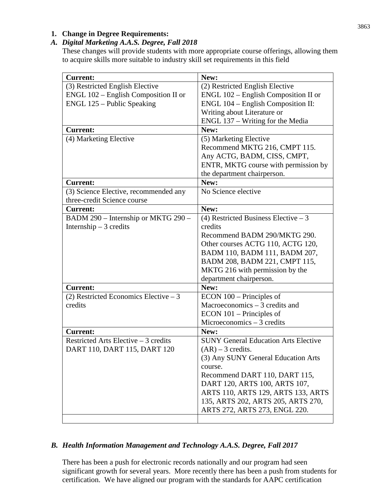# *A. Digital Marketing A.A.S. Degree, Fall 2018*

These changes will provide students with more appropriate course offerings, allowing them to acquire skills more suitable to industry skill set requirements in this field

| <b>Current:</b>                         | New:                                        |
|-----------------------------------------|---------------------------------------------|
| (3) Restricted English Elective         | (2) Restricted English Elective             |
| $ENGL 102 - English Composition II or$  | $ENGL 102 - English Composition II$ or      |
| ENGL 125 - Public Speaking              | ENGL 104 - English Composition II:          |
|                                         | Writing about Literature or                 |
|                                         | ENGL 137 – Writing for the Media            |
| <b>Current:</b>                         | New:                                        |
| (4) Marketing Elective                  | (5) Marketing Elective                      |
|                                         | Recommend MKTG 216, CMPT 115.               |
|                                         | Any ACTG, BADM, CISS, CMPT,                 |
|                                         | ENTR, MKTG course with permission by        |
|                                         | the department chairperson.                 |
| <b>Current:</b>                         | New:                                        |
| (3) Science Elective, recommended any   | No Science elective                         |
| three-credit Science course             |                                             |
| <b>Current:</b>                         | New:                                        |
| BADM 290 - Internship or MKTG 290 -     | (4) Restricted Business Elective $-3$       |
| Internship $-3$ credits                 | credits                                     |
|                                         | Recommend BADM 290/MKTG 290.                |
|                                         | Other courses ACTG 110, ACTG 120,           |
|                                         | BADM 110, BADM 111, BADM 207,               |
|                                         | BADM 208, BADM 221, CMPT 115,               |
|                                         | MKTG 216 with permission by the             |
|                                         | department chairperson.                     |
| <b>Current:</b>                         | New:                                        |
| $(2)$ Restricted Economics Elective – 3 | $ECON$ 100 – Principles of                  |
| credits                                 | Macroeconomics $-3$ credits and             |
|                                         | $ECON$ 101 – Principles of                  |
|                                         | Microeconomics $-3$ credits                 |
| <b>Current:</b>                         | New:                                        |
| Restricted Arts Elective $-3$ credits   | <b>SUNY General Education Arts Elective</b> |
| DART 110, DART 115, DART 120            | $(AR) - 3$ credits.                         |
|                                         | (3) Any SUNY General Education Arts         |
|                                         | course.                                     |
|                                         | Recommend DART 110, DART 115,               |
|                                         | DART 120, ARTS 100, ARTS 107,               |
|                                         | ARTS 110, ARTS 129, ARTS 133, ARTS          |
|                                         | 135, ARTS 202, ARTS 205, ARTS 270,          |
|                                         | ARTS 272, ARTS 273, ENGL 220.               |
|                                         |                                             |

# *B. Health Information Management and Technology A.A.S. Degree, Fall 2017*

There has been a push for electronic records nationally and our program had seen significant growth for several years. More recently there has been a push from students for certification. We have aligned our program with the standards for AAPC certification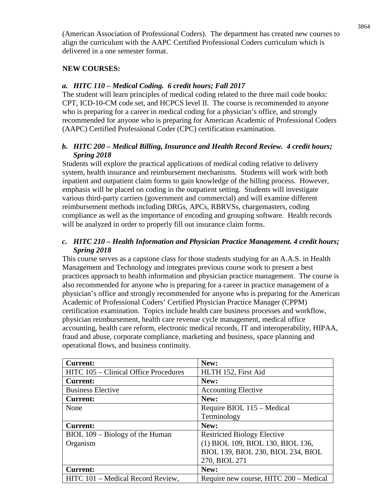(American Association of Professional Coders). The department has created new courses to align the curriculum with the AAPC Certified Professional Coders curriculum which is delivered in a one semester format.

#### **NEW COURSES:**

#### *a. HITC 110 – Medical Coding. 6 credit hours; Fall 2017*

The student will learn principles of medical coding related to the three mail code books: CPT, ICD-10-CM code set, and HCPCS level II. The course is recommended to anyone who is preparing for a career in medical coding for a physician's office, and strongly recommended for anyone who is preparing for American Academic of Professional Coders (AAPC) Certified Professional Coder (CPC) certification examination.

### *b. HITC 200 – Medical Billing, Insurance and Health Record Review. 4 credit hours; Spring 2018*

Students will explore the practical applications of medical coding relative to delivery system, health insurance and reimbursement mechanisms. Students will work with both inpatient and outpatient claim forms to gain knowledge of the billing process. However, emphasis will be placed on coding in the outpatient setting. Students will investigate various third-party carriers (government and commercial) and will examine different reimbursement methods including DRGs, APCs, RBRVSs, chargemasters, coding compliance as well as the importance of encoding and grouping software. Health records will be analyzed in order to properly fill out insurance claim forms.

#### *c. HITC 210 – Health Information and Physician Practice Management. 4 credit hours; Spring 2018*

This course serves as a capstone class for those students studying for an A.A.S. in Health Management and Technology and integrates previous course work to present a best practices approach to health information and physician practice management. The course is also recommended for anyone who is preparing for a career in practice management of a physician's office and strongly recommended for anyone who is preparing for the American Academic of Professional Coders' Certified Physician Practice Manager (CPPM) certification examination. Topics include health care business processes and workflow, physician reimbursement, health care revenue cycle management, medical office accounting, health care reform, electronic medical records, IT and interoperability, HIPAA, fraud and abuse, corporate compliance, marketing and business, space planning and operational flows, and business continuity.

| <b>Current:</b>                       | New:                                   |
|---------------------------------------|----------------------------------------|
| HITC 105 – Clinical Office Procedures | HLTH 152, First Aid                    |
| <b>Current:</b>                       | New:                                   |
| <b>Business Elective</b>              | <b>Accounting Elective</b>             |
| <b>Current:</b>                       | New:                                   |
| None                                  | Require BIOL 115 – Medical             |
|                                       | Terminology                            |
| <b>Current:</b>                       | New:                                   |
| BIOL 109 – Biology of the Human       | <b>Restricted Biology Elective</b>     |
| Organism                              | (1) BIOL 109, BIOL 130, BIOL 136,      |
|                                       | BIOL 139, BIOL 230, BIOL 234, BIOL     |
|                                       | 270, BIOL 271                          |
| <b>Current:</b>                       | New:                                   |
| HITC 101 – Medical Record Review,     | Require new course, HITC 200 - Medical |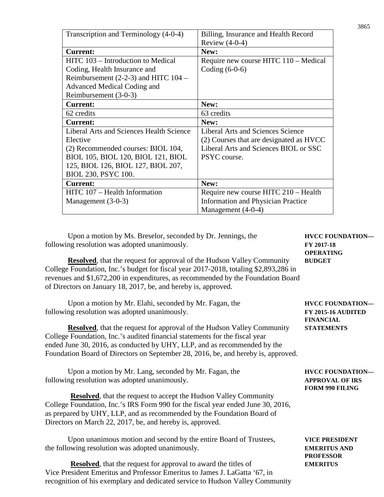| Transcription and Terminology (4-0-4)    | Billing, Insurance and Health Record      |
|------------------------------------------|-------------------------------------------|
|                                          | Review $(4-0-4)$                          |
| <b>Current:</b>                          | New:                                      |
| HITC 103 - Introduction to Medical       | Require new course HITC 110 – Medical     |
| Coding, Health Insurance and             | Coding $(6-0-6)$                          |
| Reimbursement $(2-2-3)$ and HITC $104 -$ |                                           |
| Advanced Medical Coding and              |                                           |
| Reimbursement (3-0-3)                    |                                           |
| <b>Current:</b>                          | New:                                      |
| 62 credits                               | 63 credits                                |
| <b>Current:</b>                          | New:                                      |
| Liberal Arts and Sciences Health Science | Liberal Arts and Sciences Science         |
| Elective                                 | (2) Courses that are designated as HVCC   |
| (2) Recommended courses: BIOL 104,       | Liberal Arts and Sciences BIOL or SSC     |
| BIOL 105, BIOL 120, BIOL 121, BIOL       | PSYC course.                              |
| 125, BIOL 126, BIOL 127, BIOL 207,       |                                           |
| BIOL 230, PSYC 100.                      |                                           |
| <b>Current:</b>                          | New:                                      |
| HITC 107 – Health Information            | Require new course HITC 210 - Health      |
| Management $(3-0-3)$                     | <b>Information and Physician Practice</b> |
|                                          | Management (4-0-4)                        |

Upon a motion by Ms. Breselor, seconded by Dr. Jennings, the **HVCC FOUNDATION** following resolution was adopted unanimously. **FY 2017-18**

**Resolved**, that the request for approval of the Hudson Valley Community **BUDGET** College Foundation, Inc.'s budget for fiscal year 2017-2018, totaling \$2,893,286 in revenues and \$1,672,200 in expenditures, as recommended by the Foundation Board of Directors on January 18, 2017, be, and hereby is, approved.

Upon a motion by Mr. Elahi, seconded by Mr. Fagan, the **HVCC FOUNDATION** following resolution was adopted unanimously. **FY 2015-16 AUDITED**

**Resolved**, that the request for approval of the Hudson Valley Community **STATEMENTS** College Foundation, Inc.'s audited financial statements for the fiscal year ended June 30, 2016, as conducted by UHY, LLP, and as recommended by the Foundation Board of Directors on September 28, 2016, be, and hereby is, approved.

| Upon a motion by Mr. Lang, seconded by Mr. Fagan, the                                                                                                                                                                                                                                                                         | <b>HVCC FOUNDATION—</b> |
|-------------------------------------------------------------------------------------------------------------------------------------------------------------------------------------------------------------------------------------------------------------------------------------------------------------------------------|-------------------------|
| following resolution was adopted unanimously.                                                                                                                                                                                                                                                                                 | <b>APPROVAL OF IRS</b>  |
|                                                                                                                                                                                                                                                                                                                               | <b>FORM 990 FILING</b>  |
| $\mathbf{n}$ and $\mathbf{n}$ and $\mathbf{n}$ and $\mathbf{n}$ is $\mathbf{n}$ and $\mathbf{n}$ and $\mathbf{n}$ and $\mathbf{n}$ and $\mathbf{n}$ and $\mathbf{n}$ and $\mathbf{n}$ and $\mathbf{n}$ and $\mathbf{n}$ and $\mathbf{n}$ and $\mathbf{n}$ and $\mathbf{n}$ and $\mathbf{n}$ and $\mathbf{n}$ and $\mathbf{n}$ |                         |

**Resolved**, that the request to accept the Hudson Valley Community College Foundation, Inc.'s IRS Form 990 for the fiscal year ended June 30, 2016, as prepared by UHY, LLP, and as recommended by the Foundation Board of Directors on March 22, 2017, be, and hereby is, approved.

Upon unanimous motion and second by the entire Board of Trustees, **VICE PRESIDENT** the following resolution was adopted unanimously. **EMERITUS AND**

**Resolved**, that the request for approval to award the titles of **EMERITUS** Vice President Emeritus and Professor Emeritus to James J. LaGatta '67, in recognition of his exemplary and dedicated service to Hudson Valley Community

**OPERATING**

**FINANCIAL**

**PROFESSOR**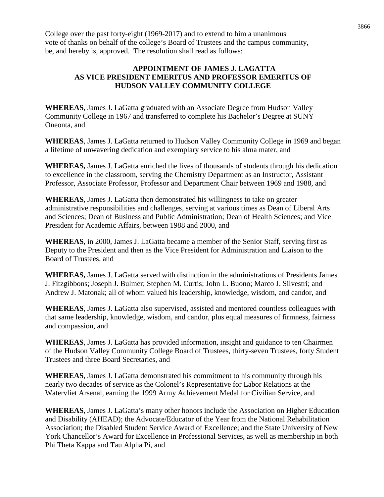College over the past forty-eight (1969-2017) and to extend to him a unanimous vote of thanks on behalf of the college's Board of Trustees and the campus community, be, and hereby is, approved. The resolution shall read as follows:

#### **APPOINTMENT OF JAMES J. LAGATTA AS VICE PRESIDENT EMERITUS AND PROFESSOR EMERITUS OF HUDSON VALLEY COMMUNITY COLLEGE**

**WHEREAS**, James J. LaGatta graduated with an Associate Degree from Hudson Valley Community College in 1967 and transferred to complete his Bachelor's Degree at SUNY Oneonta, and

**WHEREAS**, James J. LaGatta returned to Hudson Valley Community College in 1969 and began a lifetime of unwavering dedication and exemplary service to his alma mater, and

**WHEREAS,** James J. LaGatta enriched the lives of thousands of students through his dedication to excellence in the classroom, serving the Chemistry Department as an Instructor, Assistant Professor, Associate Professor, Professor and Department Chair between 1969 and 1988, and

**WHEREAS**, James J. LaGatta then demonstrated his willingness to take on greater administrative responsibilities and challenges, serving at various times as Dean of Liberal Arts and Sciences; Dean of Business and Public Administration; Dean of Health Sciences; and Vice President for Academic Affairs, between 1988 and 2000, and

**WHEREAS**, in 2000, James J. LaGatta became a member of the Senior Staff, serving first as Deputy to the President and then as the Vice President for Administration and Liaison to the Board of Trustees, and

**WHEREAS,** James J. LaGatta served with distinction in the administrations of Presidents James J. Fitzgibbons; Joseph J. Bulmer; Stephen M. Curtis; John L. Buono; Marco J. Silvestri; and Andrew J. Matonak; all of whom valued his leadership, knowledge, wisdom, and candor, and

**WHEREAS**, James J. LaGatta also supervised, assisted and mentored countless colleagues with that same leadership, knowledge, wisdom, and candor, plus equal measures of firmness, fairness and compassion, and

**WHEREAS**, James J. LaGatta has provided information, insight and guidance to ten Chairmen of the Hudson Valley Community College Board of Trustees, thirty-seven Trustees, forty Student Trustees and three Board Secretaries, and

**WHEREAS**, James J. LaGatta demonstrated his commitment to his community through his nearly two decades of service as the Colonel's Representative for Labor Relations at the Watervliet Arsenal, earning the 1999 Army Achievement Medal for Civilian Service, and

**WHEREAS**, James J. LaGatta's many other honors include the Association on Higher Education and Disability (AHEAD); the Advocate/Educator of the Year from the National Rehabilitation Association; the Disabled Student Service Award of Excellence; and the State University of New York Chancellor's Award for Excellence in Professional Services, as well as membership in both Phi Theta Kappa and Tau Alpha Pi, and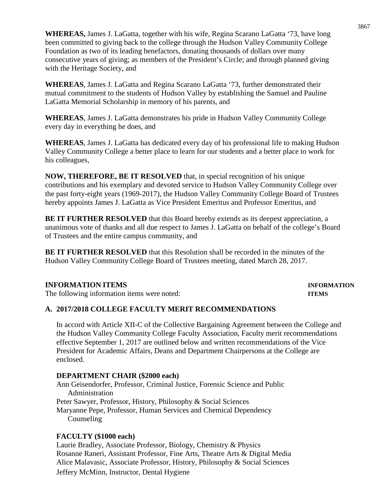**WHEREAS,** James J. LaGatta, together with his wife, Regina Scarano LaGatta '73, have long been committed to giving back to the college through the Hudson Valley Community College Foundation as two of its leading benefactors, donating thousands of dollars over many consecutive years of giving; as members of the President's Circle; and through planned giving with the Heritage Society, and

**WHEREAS**, James J. LaGatta and Regina Scarano LaGatta '73, further demonstrated their mutual commitment to the students of Hudson Valley by establishing the Samuel and Pauline LaGatta Memorial Scholarship in memory of his parents, and

**WHEREAS**, James J. LaGatta demonstrates his pride in Hudson Valley Community College every day in everything he does, and

**WHEREAS**, James J. LaGatta has dedicated every day of his professional life to making Hudson Valley Community College a better place to learn for our students and a better place to work for his colleagues,

**NOW, THEREFORE, BE IT RESOLVED** that, in special recognition of his unique contributions and his exemplary and devoted service to Hudson Valley Community College over the past forty-eight years (1969-2017), the Hudson Valley Community College Board of Trustees hereby appoints James J. LaGatta as Vice President Emeritus and Professor Emeritus, and

**BE IT FURTHER RESOLVED** that this Board hereby extends as its deepest appreciation, a unanimous vote of thanks and all due respect to James J. LaGatta on behalf of the college's Board of Trustees and the entire campus community, and

**BE IT FURTHER RESOLVED** that this Resolution shall be recorded in the minutes of the Hudson Valley Community College Board of Trustees meeting, dated March 28, 2017.

#### **INFORMATION ITEMS INFORMATION**

The following information items were noted: **ITEMS**

#### **A. 2017/2018 COLLEGE FACULTY MERIT RECOMMENDATIONS**

In accord with Article XII-C of the Collective Bargaining Agreement between the College and the Hudson Valley Community College Faculty Association, Faculty merit recommendations effective September 1, 2017 are outlined below and written recommendations of the Vice President for Academic Affairs, Deans and Department Chairpersons at the College are enclosed.

#### **DEPARTMENT CHAIR (\$2000 each)**

Ann Geisendorfer, Professor, Criminal Justice, Forensic Science and Public Administration Peter Sawyer, Professor, History, Philosophy & Social Sciences Maryanne Pepe, Professor, Human Services and Chemical Dependency Counseling

#### **FACULTY (\$1000 each)**

Laurie Bradley, Associate Professor, Biology, Chemistry & Physics Rosanne Raneri, Assistant Professor, Fine Arts, Theatre Arts & Digital Media Alice Malavasic, Associate Professor, History, Philosophy & Social Sciences Jeffery McMinn, Instructor, Dental Hygiene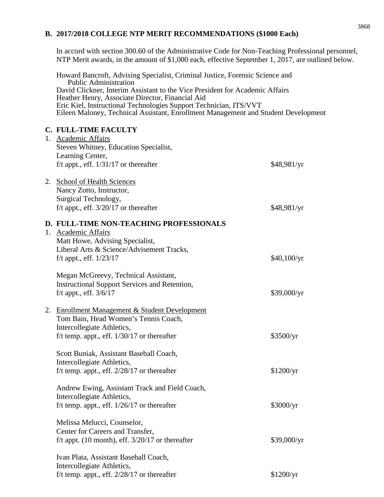#### **B. 2017/2018 COLLEGE NTP MERIT RECOMMENDATIONS (\$1000 Each)**

In accord with section 300.60 of the Administrative Code for Non-Teaching Professional personnel, NTP Merit awards, in the amount of \$1,000 each, effective September 1, 2017, are outlined below.

Howard Bancroft, Advising Specialist, Criminal Justice, Forensic Science and Public Administration David Clickner, Interim Assistant to the Vice President for Academic Affairs Heather Henry, Associate Director, Financial Aid Eric Kiel, Instructional Technologies Support Technician, ITS/VVT Eileen Maloney, Technical Assistant, Enrollment Management and Student Development

#### **C. FULL-TIME FACULTY**

|  | 1. Academic Affairs                                  |             |
|--|------------------------------------------------------|-------------|
|  | Steven Whitney, Education Specialist,                |             |
|  | Learning Center,                                     |             |
|  | f/t appt., eff. $1/31/17$ or thereafter              | \$48,981/yr |
|  | 2. School of Health Sciences                         |             |
|  | Nancy Zotto, Instructor,                             |             |
|  | Surgical Technology,                                 |             |
|  | f/t appt., eff. $3/20/17$ or thereafter              | \$48,981/yr |
|  | D. FULL-TIME NON-TEACHING PROFESSIONALS              |             |
|  | 1. Academic Affairs                                  |             |
|  | Matt Howe, Advising Specialist,                      |             |
|  | Liberal Arts & Science/Advisement Tracks,            |             |
|  | f/t appt., eff. $1/23/17$                            | \$40,100/yr |
|  | Megan McGreevy, Technical Assistant,                 |             |
|  | <b>Instructional Support Services and Retention,</b> |             |
|  | f/t appt., eff. 3/6/17                               | \$39,000/yr |
|  | 2. Enrollment Management & Student Development       |             |
|  | Tom Bain, Head Women's Tennis Coach,                 |             |
|  | Intercollegiate Athletics,                           |             |
|  | f/t temp. appt., eff. $1/30/17$ or thereafter        | \$3500/yr   |
|  | Scott Buniak, Assistant Baseball Coach,              |             |
|  | Intercollegiate Athletics,                           |             |
|  | f/t temp. appt., eff. $2/28/17$ or thereafter        | \$1200/yr   |
|  | Andrew Ewing, Assistant Track and Field Coach,       |             |
|  | Intercollegiate Athletics,                           |             |
|  | f/t temp. appt., eff. $1/26/17$ or thereafter        | \$3000/yr   |
|  | Melissa Melucci, Counselor,                          |             |
|  | Center for Careers and Transfer,                     |             |
|  | f/t appt. (10 month), eff. $3/20/17$ or thereafter   | \$39,000/yr |
|  | Ivan Plata, Assistant Baseball Coach,                |             |
|  | Intercollegiate Athletics,                           |             |
|  | f/t temp. appt., eff. $2/28/17$ or thereafter        | \$1200/yr   |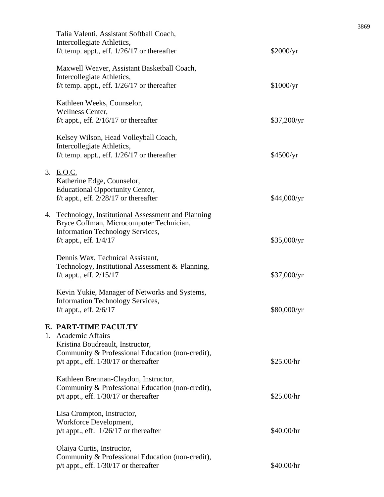| Talia Valenti, Assistant Softball Coach,<br>Intercollegiate Athletics,<br>f/t temp. appt., eff. $1/26/17$ or thereafter                                                          | \$2000/yr   |
|----------------------------------------------------------------------------------------------------------------------------------------------------------------------------------|-------------|
| Maxwell Weaver, Assistant Basketball Coach,<br>Intercollegiate Athletics,<br>f/t temp. appt., eff. $1/26/17$ or thereafter                                                       | \$1000/yr   |
| Kathleen Weeks, Counselor,<br>Wellness Center,<br>f/t appt., eff. $2/16/17$ or thereafter                                                                                        | \$37,200/yr |
| Kelsey Wilson, Head Volleyball Coach,<br>Intercollegiate Athletics,<br>f/t temp. appt., eff. $1/26/17$ or thereafter                                                             | \$4500/yr   |
| 3. E.O.C.<br>Katherine Edge, Counselor,<br><b>Educational Opportunity Center,</b><br>f/t appt., eff. $2/28/17$ or thereafter                                                     | \$44,000/yr |
| 4. Technology, Institutional Assessment and Planning<br>Bryce Coffman, Microcomputer Technician,<br><b>Information Technology Services,</b><br>f/t appt., eff. $1/4/17$          | \$35,000/yr |
| Dennis Wax, Technical Assistant,<br>Technology, Institutional Assessment & Planning,<br>f/t appt., eff. $2/15/17$                                                                | \$37,000/yr |
| Kevin Yukie, Manager of Networks and Systems,<br><b>Information Technology Services,</b><br>f/t appt., eff. $2/6/17$                                                             | \$80,000/yr |
| E. PART-TIME FACULTY<br>1. Academic Affairs<br>Kristina Boudreault, Instructor,<br>Community & Professional Education (non-credit),<br>$p/t$ appt., eff. $1/30/17$ or thereafter | \$25.00/hr  |
| Kathleen Brennan-Claydon, Instructor,<br>Community & Professional Education (non-credit),<br>$p/t$ appt., eff. $1/30/17$ or thereafter                                           | \$25.00/hr  |
| Lisa Crompton, Instructor,<br>Workforce Development,<br>p/t appt., eff. $1/26/17$ or thereafter                                                                                  | \$40.00/hr  |
| Olaiya Curtis, Instructor,<br>Community & Professional Education (non-credit),<br>$p/t$ appt., eff. $1/30/17$ or thereafter                                                      | \$40.00/hr  |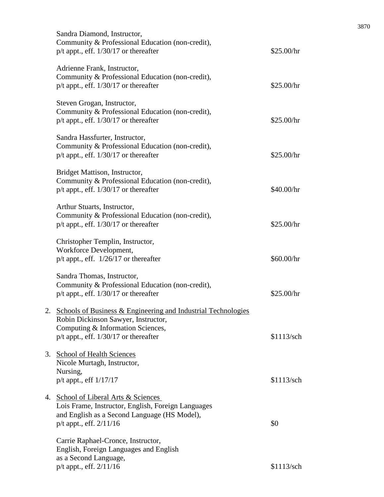|    | Sandra Diamond, Instructor,<br>Community & Professional Education (non-credit),<br>$p/t$ appt., eff. $1/30/17$ or thereafter                                                              | \$25.00/hr |
|----|-------------------------------------------------------------------------------------------------------------------------------------------------------------------------------------------|------------|
|    | Adrienne Frank, Instructor,<br>Community & Professional Education (non-credit),<br>$p/t$ appt., eff. $1/30/17$ or thereafter                                                              | \$25.00/hr |
|    | Steven Grogan, Instructor,<br>Community & Professional Education (non-credit),<br>p/t appt., eff. 1/30/17 or thereafter                                                                   | \$25.00/hr |
|    | Sandra Hassfurter, Instructor,<br>Community & Professional Education (non-credit),<br>$p/t$ appt., eff. $1/30/17$ or thereafter                                                           | \$25.00/hr |
|    | Bridget Mattison, Instructor,<br>Community & Professional Education (non-credit),<br>$p/t$ appt., eff. $1/30/17$ or thereafter                                                            | \$40.00/hr |
|    | Arthur Stuarts, Instructor,<br>Community & Professional Education (non-credit),<br>$p/t$ appt., eff. $1/30/17$ or thereafter                                                              | \$25.00/hr |
|    | Christopher Templin, Instructor,<br>Workforce Development,<br>$p/t$ appt., eff. $1/26/17$ or thereafter                                                                                   | \$60.00/hr |
|    | Sandra Thomas, Instructor,<br>Community & Professional Education (non-credit),<br>$p/t$ appt., eff. $1/30/17$ or thereafter                                                               | \$25.00/hr |
|    | 2. Schools of Business & Engineering and Industrial Technologies<br>Robin Dickinson Sawyer, Instructor,<br>Computing & Information Sciences,<br>$p/t$ appt., eff. $1/30/17$ or thereafter | \$1113/sch |
| 3. | <b>School of Health Sciences</b><br>Nicole Murtagh, Instructor,<br>Nursing,<br>p/t appt., eff 1/17/17                                                                                     | \$1113/sch |
| 4. | School of Liberal Arts & Sciences<br>Lois Frame, Instructor, English, Foreign Languages<br>and English as a Second Language (HS Model),<br>$p/t$ appt., eff. $2/11/16$                    | \$0        |
|    | Carrie Raphael-Cronce, Instructor,<br>English, Foreign Languages and English<br>as a Second Language,                                                                                     |            |
|    | p/t appt., eff. 2/11/16                                                                                                                                                                   | \$1113/sch |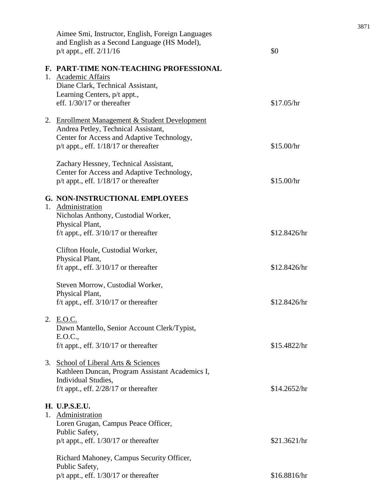|    | Aimee Smi, Instructor, English, Foreign Languages<br>and English as a Second Language (HS Model),<br>$p/t$ appt., eff. $2/11/16$                                                 | \$0          |
|----|----------------------------------------------------------------------------------------------------------------------------------------------------------------------------------|--------------|
|    | F. PART-TIME NON-TEACHING PROFESSIONAL<br>1. Academic Affairs<br>Diane Clark, Technical Assistant,<br>Learning Centers, p/t appt.,<br>eff. $1/30/17$ or thereafter               | \$17.05/hr   |
|    | 2. Enrollment Management & Student Development<br>Andrea Petley, Technical Assistant,<br>Center for Access and Adaptive Technology,<br>$p/t$ appt., eff. $1/18/17$ or thereafter | \$15.00/hr   |
|    | Zachary Hessney, Technical Assistant,<br>Center for Access and Adaptive Technology,<br>$p/t$ appt., eff. $1/18/17$ or thereafter                                                 | \$15.00/hr   |
| 1. | <b>G. NON-INSTRUCTIONAL EMPLOYEES</b><br>Administration<br>Nicholas Anthony, Custodial Worker,<br>Physical Plant,<br>f/t appt., eff. $3/10/17$ or thereafter                     | \$12.8426/hr |
|    | Clifton Houle, Custodial Worker,<br>Physical Plant,<br>f/t appt., eff. $3/10/17$ or thereafter                                                                                   | \$12.8426/hr |
|    | Steven Morrow, Custodial Worker,<br>Physical Plant,<br>f/t appt., eff. $3/10/17$ or thereafter                                                                                   | \$12.8426/hr |
|    | 2. E.O.C.<br>Dawn Mantello, Senior Account Clerk/Typist,<br>E.O.C.,<br>f/t appt., eff. $3/10/17$ or thereafter                                                                   | \$15.4822/hr |
|    | 3. School of Liberal Arts & Sciences<br>Kathleen Duncan, Program Assistant Academics I,<br>Individual Studies,<br>f/t appt., eff. $2/28/17$ or thereafter                        | \$14.2652/hr |
|    | <b>H. U.P.S.E.U.</b><br>1. Administration<br>Loren Grugan, Campus Peace Officer,<br>Public Safety,<br>$p/t$ appt., eff. $1/30/17$ or thereafter                                  | \$21.3621/hr |
|    | Richard Mahoney, Campus Security Officer,<br>Public Safety,<br>p/t appt., eff. 1/30/17 or thereafter                                                                             | \$16.8816/hr |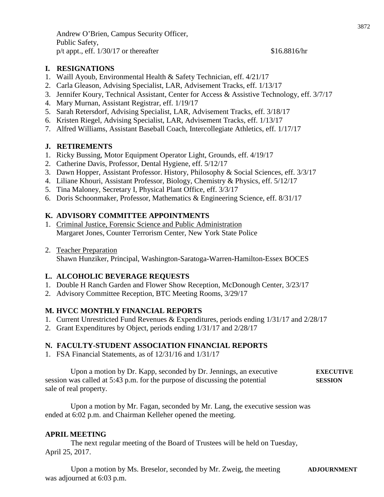Andrew O'Brien, Campus Security Officer, Public Safety,  $p/t$  appt., eff.  $1/30/17$  or thereafter \$16.8816/hr

#### **I. RESIGNATIONS**

- 1. Waill Ayoub, Environmental Health & Safety Technician, eff. 4/21/17
- 2. Carla Gleason, Advising Specialist, LAR, Advisement Tracks, eff. 1/13/17
- 3. Jennifer Koury, Technical Assistant, Center for Access & Assistive Technology, eff. 3/7/17
- 4. Mary Murnan, Assistant Registrar, eff. 1/19/17
- 5. Sarah Retersdorf, Advising Specialist, LAR, Advisement Tracks, eff. 3/18/17
- 6. Kristen Riegel, Advising Specialist, LAR, Advisement Tracks, eff. 1/13/17
- 7. Alfred Williams, Assistant Baseball Coach, Intercollegiate Athletics, eff. 1/17/17

#### **J. RETIREMENTS**

- 1. Ricky Bussing, Motor Equipment Operator Light, Grounds, eff. 4/19/17
- 2. Catherine Davis, Professor, Dental Hygiene, eff. 5/12/17
- 3. Dawn Hopper, Assistant Professor. History, Philosophy & Social Sciences, eff. 3/3/17
- 4. Liliane Khouri, Assistant Professor, Biology, Chemistry & Physics, eff. 5/12/17
- 5. Tina Maloney, Secretary I, Physical Plant Office, eff. 3/3/17
- 6. Doris Schoonmaker, Professor, Mathematics & Engineering Science, eff. 8/31/17

#### **K. ADVISORY COMMITTEE APPOINTMENTS**

- 1. Criminal Justice, Forensic Science and Public Administration Margaret Jones, Counter Terrorism Center, New York State Police
- 2. Teacher Preparation Shawn Hunziker, Principal, Washington-Saratoga-Warren-Hamilton-Essex BOCES

#### **L. ALCOHOLIC BEVERAGE REQUESTS**

- 1. Double H Ranch Garden and Flower Show Reception, McDonough Center, 3/23/17
- 2. Advisory Committee Reception, BTC Meeting Rooms, 3/29/17

#### **M. HVCC MONTHLY FINANCIAL REPORTS**

- 1. Current Unrestricted Fund Revenues & Expenditures, periods ending 1/31/17 and 2/28/17
- 2. Grant Expenditures by Object, periods ending 1/31/17 and 2/28/17

#### **N. FACULTY-STUDENT ASSOCIATION FINANCIAL REPORTS**

1. FSA Financial Statements, as of 12/31/16 and 1/31/17

Upon a motion by Dr. Kapp, seconded by Dr. Jennings, an executive **EXECUTIVE**  session was called at 5:43 p.m. for the purpose of discussing the potential **SESSION** sale of real property.

Upon a motion by Mr. Fagan, seconded by Mr. Lang, the executive session was ended at 6:02 p.m. and Chairman Kelleher opened the meeting.

#### **APRIL MEETING**

The next regular meeting of the Board of Trustees will be held on Tuesday, April 25, 2017.

Upon a motion by Ms. Breselor, seconded by Mr. Zweig, the meeting **ADJOURNMENT** was adjourned at 6:03 p.m.